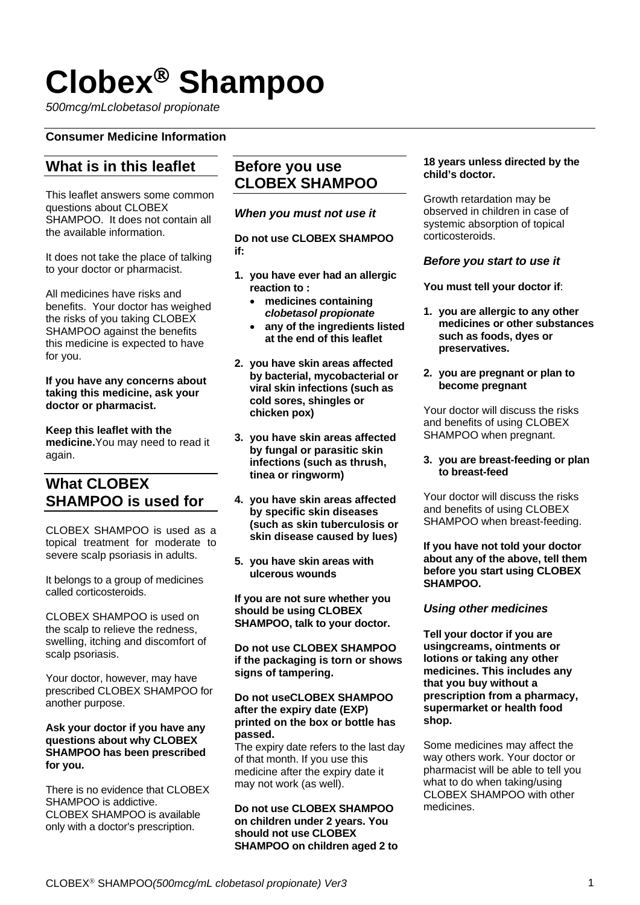# **Clobex Shampoo**

*500mcg/mLclobetasol propionate*

# **Consumer Medicine Information**

# **What is in this leaflet**

This leaflet answers some common questions about CLOBEX SHAMPOO. It does not contain all the available information.

It does not take the place of talking to your doctor or pharmacist.

All medicines have risks and benefits. Your doctor has weighed the risks of you taking CLOBEX SHAMPOO against the benefits this medicine is expected to have for you.

### **If you have any concerns about taking this medicine, ask your doctor or pharmacist.**

**Keep this leaflet with the medicine.**You may need to read it again.

# **What CLOBEX SHAMPOO is used for**

CLOBEX SHAMPOO is used as a topical treatment for moderate to severe scalp psoriasis in adults.

It belongs to a group of medicines called corticosteroids.

CLOBEX SHAMPOO is used on the scalp to relieve the redness, swelling, itching and discomfort of scalp psoriasis.

Your doctor, however, may have prescribed CLOBEX SHAMPOO for another purpose.

### **Ask your doctor if you have any questions about why CLOBEX SHAMPOO has been prescribed for you.**

There is no evidence that CLOBEX SHAMPOO is addictive. CLOBEX SHAMPOO is available only with a doctor's prescription.

# **Before you use CLOBEX SHAMPOO**

*When you must not use it*

**Do not use CLOBEX SHAMPOO if:**

- **1. you have ever had an allergic reaction to :**
	- **medicines containing** *clobetasol propionate*
	- **any of the ingredients listed at the end of this leaflet**
- **2. you have skin areas affected by bacterial, mycobacterial or viral skin infections (such as cold sores, shingles or chicken pox)**
- **3. you have skin areas affected by fungal or parasitic skin infections (such as thrush, tinea or ringworm)**
- **4. you have skin areas affected by specific skin diseases (such as skin tuberculosis or skin disease caused by lues)**
- **5. you have skin areas with ulcerous wounds**

**If you are not sure whether you should be using CLOBEX SHAMPOO, talk to your doctor.**

**Do not use CLOBEX SHAMPOO if the packaging is torn or shows signs of tampering.**

### **Do not useCLOBEX SHAMPOO after the expiry date (EXP) printed on the box or bottle has passed.**

The expiry date refers to the last day of that month. If you use this medicine after the expiry date it may not work (as well).

**Do not use CLOBEX SHAMPOO on children under 2 years. You should not use CLOBEX SHAMPOO on children aged 2 to** 

### **18 years unless directed by the child's doctor.**

Growth retardation may be observed in children in case of systemic absorption of topical corticosteroids.

# *Before you start to use it*

**You must tell your doctor if**:

- **1. you are allergic to any other medicines or other substances such as foods, dyes or preservatives.**
- **2. you are pregnant or plan to become pregnant**

Your doctor will discuss the risks and benefits of using CLOBEX SHAMPOO when pregnant.

### **3. you are breast-feeding or plan to breast-feed**

Your doctor will discuss the risks and benefits of using CLOBEX SHAMPOO when breast-feeding.

### **If you have not told your doctor about any of the above, tell them before you start using CLOBEX SHAMPOO.**

# *Using other medicines*

**Tell your doctor if you are usingcreams, ointments or lotions or taking any other medicines. This includes any that you buy without a prescription from a pharmacy, supermarket or health food shop.** 

Some medicines may affect the way others work. Your doctor or pharmacist will be able to tell you what to do when taking/using CLOBEX SHAMPOO with other medicines.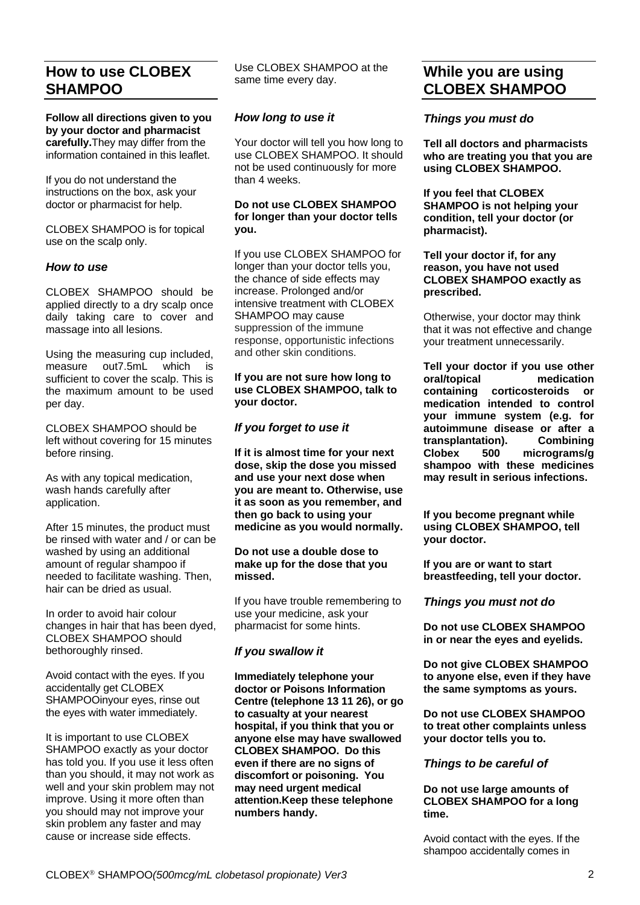# **How to use CLOBEX SHAMPOO**

**Follow all directions given to you by your doctor and pharmacist carefully.**They may differ from the information contained in this leaflet.

If you do not understand the instructions on the box, ask your doctor or pharmacist for help.

CLOBEX SHAMPOO is for topical use on the scalp only.

## *How to use*

CLOBEX SHAMPOO should be applied directly to a dry scalp once daily taking care to cover and massage into all lesions.

Using the measuring cup included,<br>measure out7.5ml which is out7.5mL which is sufficient to cover the scalp. This is the maximum amount to be used per day.

CLOBEX SHAMPOO should be left without covering for 15 minutes before rinsing.

As with any topical medication, wash hands carefully after application.

After 15 minutes, the product must be rinsed with water and / or can be washed by using an additional amount of regular shampoo if needed to facilitate washing. Then, hair can be dried as usual.

In order to avoid hair colour changes in hair that has been dyed, CLOBEX SHAMPOO should bethoroughly rinsed.

Avoid contact with the eyes. If you accidentally get CLOBEX SHAMPOOinyour eyes, rinse out the eyes with water immediately.

It is important to use CLOBEX SHAMPOO exactly as your doctor has told you. If you use it less often than you should, it may not work as well and your skin problem may not improve. Using it more often than you should may not improve your skin problem any faster and may cause or increase side effects.

Use CLOBEX SHAMPOO at the same time every day.

### *How long to use it*

Your doctor will tell you how long to use CLOBEX SHAMPOO. It should not be used continuously for more than 4 weeks.

### **Do not use CLOBEX SHAMPOO for longer than your doctor tells you.**

If you use CLOBEX SHAMPOO for longer than your doctor tells you, the chance of side effects may increase. Prolonged and/or intensive treatment with CLOBEX SHAMPOO may cause suppression of the immune response, opportunistic infections and other skin conditions.

### **If you are not sure how long to use CLOBEX SHAMPOO, talk to your doctor.**

## *If you forget to use it*

**If it is almost time for your next dose, skip the dose you missed and use your next dose when you are meant to. Otherwise, use it as soon as you remember, and then go back to using your medicine as you would normally.**

### **Do not use a double dose to make up for the dose that you missed.**

If you have trouble remembering to use your medicine, ask your pharmacist for some hints.

### *If you swallow it*

**Immediately telephone your doctor or Poisons Information Centre (telephone 13 11 26), or go to casualty at your nearest hospital, if you think that you or anyone else may have swallowed CLOBEX SHAMPOO. Do this even if there are no signs of discomfort or poisoning. You may need urgent medical attention.Keep these telephone numbers handy.**

# **While you are using CLOBEX SHAMPOO**

# *Things you must do*

**Tell all doctors and pharmacists who are treating you that you are using CLOBEX SHAMPOO.**

**If you feel that CLOBEX SHAMPOO is not helping your condition, tell your doctor (or pharmacist).**

**Tell your doctor if, for any reason, you have not used CLOBEX SHAMPOO exactly as prescribed.** 

Otherwise, your doctor may think that it was not effective and change your treatment unnecessarily.

**Tell your doctor if you use other oral/topical medication containing corticosteroids or medication intended to control your immune system (e.g. for autoimmune disease or after a transplantation).**<br>Clobex 500 micrograms/g **shampoo with these medicines may result in serious infections.** 

**If you become pregnant while using CLOBEX SHAMPOO, tell your doctor.**

**If you are or want to start breastfeeding, tell your doctor.**

### *Things you must not do*

**Do not use CLOBEX SHAMPOO in or near the eyes and eyelids.** 

**Do not give CLOBEX SHAMPOO to anyone else, even if they have the same symptoms as yours.**

**Do not use CLOBEX SHAMPOO to treat other complaints unless your doctor tells you to.**

## *Things to be careful of*

**Do not use large amounts of CLOBEX SHAMPOO for a long time.**

Avoid contact with the eyes. If the shampoo accidentally comes in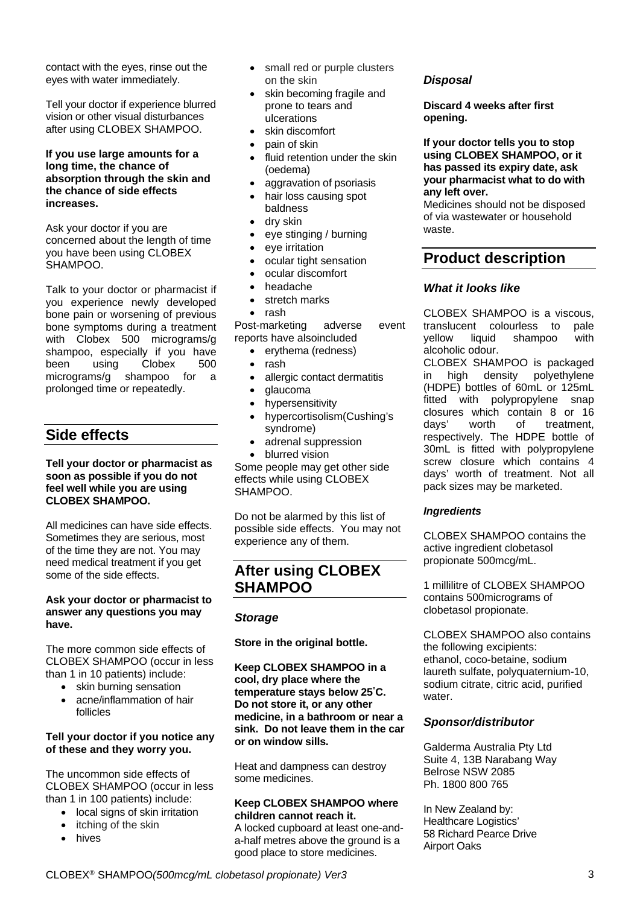contact with the eyes, rinse out the eyes with water immediately.

Tell your doctor if experience blurred vision or other visual disturbances after using CLOBEX SHAMPOO.

#### **If you use large amounts for a long time, the chance of absorption through the skin and the chance of side effects increases.**

Ask your doctor if you are concerned about the length of time you have been using CLOBEX SHAMPOO.

Talk to your doctor or pharmacist if you experience newly developed bone pain or worsening of previous bone symptoms during a treatment with Clobex 500 micrograms/g shampoo, especially if you have been using Clobex 500 micrograms/g shampoo for a prolonged time or repeatedly.

# **Side effects**

### **Tell your doctor or pharmacist as soon as possible if you do not feel well while you are using CLOBEX SHAMPOO.**

All medicines can have side effects. Sometimes they are serious, most of the time they are not. You may need medical treatment if you get some of the side effects.

### **Ask your doctor or pharmacist to answer any questions you may have.**

The more common side effects of CLOBEX SHAMPOO (occur in less than 1 in 10 patients) include:

- skin burning sensation
- acne/inflammation of hair follicles

### **Tell your doctor if you notice any of these and they worry you.**

The uncommon side effects of CLOBEX SHAMPOO (occur in less than 1 in 100 patients) include:

- local signs of skin irritation
- itching of the skin
- hives
- small red or purple clusters on the skin
- skin becoming fragile and prone to tears and ulcerations
- skin discomfort
- pain of skin
- fluid retention under the skin (oedema)
- aggravation of psoriasis
- hair loss causing spot baldness
- dry skin
- eye stinging / burning
- eye irritation
- ocular tight sensation
- ocular discomfort
- headache
- stretch marks
- rash

Post-marketing adverse event reports have alsoincluded

- erythema (redness)
- rash
- allergic contact dermatitis
- glaucoma
- **hypersensitivity**
- hypercortisolism(Cushing's syndrome)
- adrenal suppression
- blurred vision

Some people may get other side effects while using CLOBEX SHAMPOO.

Do not be alarmed by this list of possible side effects. You may not experience any of them.

# **After using CLOBEX SHAMPOO**

# *Storage*

**Store in the original bottle.**

**Keep CLOBEX SHAMPOO in a cool, dry place where the temperature stays below 25° C. Do not store it, or any other medicine, in a bathroom or near a sink. Do not leave them in the car or on window sills.**

Heat and dampness can destroy some medicines.

#### **Keep CLOBEX SHAMPOO where children cannot reach it.**

A locked cupboard at least one-anda-half metres above the ground is a good place to store medicines.

# *Disposal*

**Discard 4 weeks after first opening.**

**If your doctor tells you to stop using CLOBEX SHAMPOO, or it has passed its expiry date, ask your pharmacist what to do with any left over.**

Medicines should not be disposed of via wastewater or household waste.

# **Product description**

# *What it looks like*

CLOBEX SHAMPOO is a viscous, translucent colourless to pale yellow liquid shampoo with alcoholic odour.

CLOBEX SHAMPOO is packaged<br>in high density polyethylene in high density polyethylene (HDPE) bottles of 60mL or 125mL fitted with polypropylene snap closures which contain 8 or 16 days' worth of treatment, respectively. The HDPE bottle of 30mL is fitted with polypropylene screw closure which contains 4 days' worth of treatment. Not all pack sizes may be marketed.

## *Ingredients*

CLOBEX SHAMPOO contains the active ingredient clobetasol propionate 500mcg/mL.

1 millilitre of CLOBEX SHAMPOO contains 500micrograms of clobetasol propionate.

CLOBEX SHAMPOO also contains the following excipients: ethanol, coco-betaine, sodium laureth sulfate, polyquaternium-10, sodium citrate, citric acid, purified water.

## *Sponsor/distributor*

Galderma Australia Pty Ltd Suite 4, 13B Narabang Way Belrose NSW 2085 Ph. 1800 800 765

In New Zealand by: Healthcare Logistics' 58 Richard Pearce Drive Airport Oaks